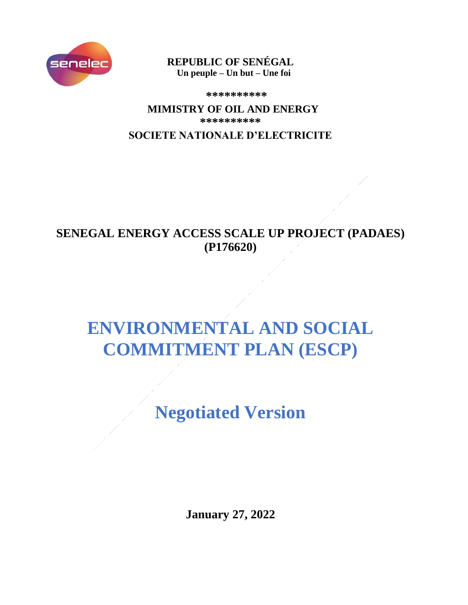

**REPUBLIC OF SENÉGAL Un peuple – Un but – Une foi**

 **\*\*\*\*\*\*\*\*\*\***

 **MIMISTRY OF OIL AND ENERGY \*\*\*\*\*\*\*\*\*\* SOCIETE NATIONALE D'ELECTRICITE** 

## **SENEGAL ENERGY ACCESS SCALE UP PROJECT (PADAES) (P176620)**

## **ENVIRONMENTAL AND SOCIAL COMMITMENT PLAN (ESCP)**

**Negotiated Version** 

**January 27, 2022**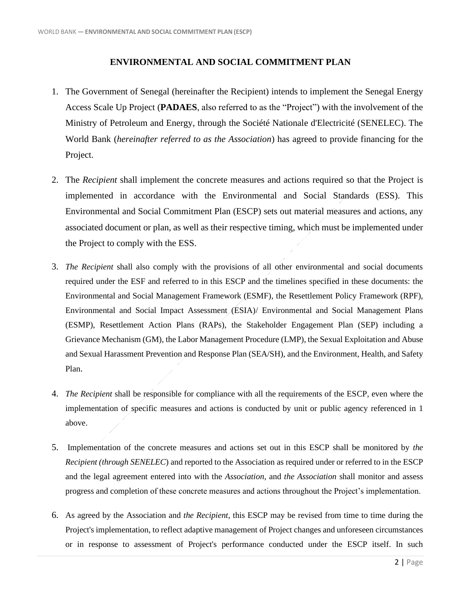## **ENVIRONMENTAL AND SOCIAL COMMITMENT PLAN**

- 1. The Government of Senegal (hereinafter the Recipient) intends to implement the Senegal Energy Access Scale Up Project (**PADAES**, also referred to as the "Project") with the involvement of the Ministry of Petroleum and Energy, through the Société Nationale d'Electricité (SENELEC). The World Bank (*hereinafter referred to as the Association*) has agreed to provide financing for the Project.
- 2. The *Recipient* shall implement the concrete measures and actions required so that the Project is implemented in accordance with the Environmental and Social Standards (ESS). This Environmental and Social Commitment Plan (ESCP) sets out material measures and actions, any associated document or plan, as well as their respective timing, which must be implemented under the Project to comply with the ESS.
- 3. *The Recipient* shall also comply with the provisions of all other environmental and social documents required under the ESF and referred to in this ESCP and the timelines specified in these documents: the Environmental and Social Management Framework (ESMF), the Resettlement Policy Framework (RPF), Environmental and Social Impact Assessment (ESIA)/ Environmental and Social Management Plans (ESMP), Resettlement Action Plans (RAPs), the Stakeholder Engagement Plan (SEP) including a Grievance Mechanism (GM), the Labor Management Procedure (LMP), the Sexual Exploitation and Abuse and Sexual Harassment Prevention and Response Plan (SEA/SH), and the Environment, Health, and Safety Plan.
- 4. *The Recipient* shall be responsible for compliance with all the requirements of the ESCP, even where the implementation of specific measures and actions is conducted by unit or public agency referenced in 1 above.
- 5. Implementation of the concrete measures and actions set out in this ESCP shall be monitored by *the Recipient (through SENELEC*) and reported to the Association as required under or referred to in the ESCP and the legal agreement entered into with the *Association*, and *the Association* shall monitor and assess progress and completion of these concrete measures and actions throughout the Project's implementation.
- 6. As agreed by the Association and *the Recipient*, this ESCP may be revised from time to time during the Project's implementation, to reflect adaptive management of Project changes and unforeseen circumstances or in response to assessment of Project's performance conducted under the ESCP itself. In such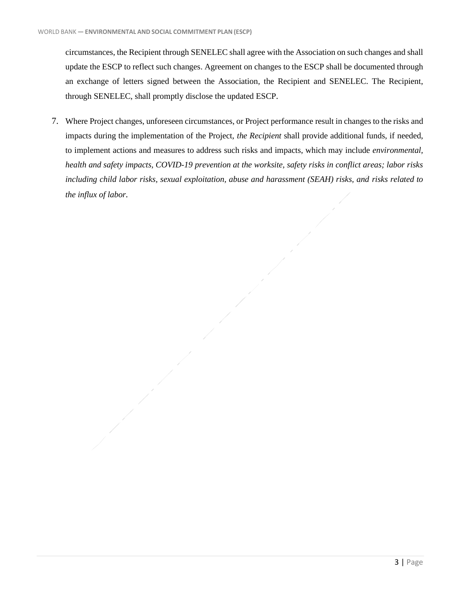circumstances, the Recipient through SENELEC shall agree with the Association on such changes and shall update the ESCP to reflect such changes. Agreement on changes to the ESCP shall be documented through an exchange of letters signed between the Association, the Recipient and SENELEC. The Recipient, through SENELEC, shall promptly disclose the updated ESCP.

7. Where Project changes, unforeseen circumstances, or Project performance result in changes to the risks and impacts during the implementation of the Project, *the Recipient* shall provide additional funds, if needed, to implement actions and measures to address such risks and impacts, which may include *environmental, health and safety impacts, COVID-19 prevention at the worksite, safety risks in conflict areas; labor risks including child labor risks, sexual exploitation, abuse and harassment (SEAH) risks, and risks related to the influx of labor.*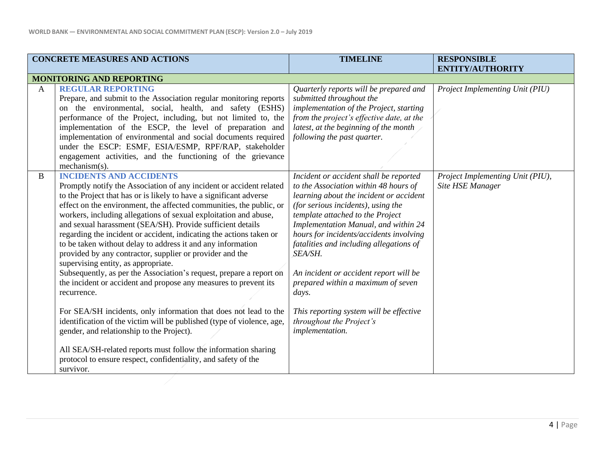|              | <b>CONCRETE MEASURES AND ACTIONS</b>                                                                                                                                                                                                                                                                                                                                                                                                                                                                                                                                                                                                                                                                                                                                                                                                                                                                                                                                                                                                                                                                                                                    | <b>TIMELINE</b>                                                                                                                                                                                                                                                                                                                                                                                                                                                                                                                  | <b>RESPONSIBLE</b><br><b>ENTITY/AUTHORITY</b>        |
|--------------|---------------------------------------------------------------------------------------------------------------------------------------------------------------------------------------------------------------------------------------------------------------------------------------------------------------------------------------------------------------------------------------------------------------------------------------------------------------------------------------------------------------------------------------------------------------------------------------------------------------------------------------------------------------------------------------------------------------------------------------------------------------------------------------------------------------------------------------------------------------------------------------------------------------------------------------------------------------------------------------------------------------------------------------------------------------------------------------------------------------------------------------------------------|----------------------------------------------------------------------------------------------------------------------------------------------------------------------------------------------------------------------------------------------------------------------------------------------------------------------------------------------------------------------------------------------------------------------------------------------------------------------------------------------------------------------------------|------------------------------------------------------|
|              | <b>MONITORING AND REPORTING</b>                                                                                                                                                                                                                                                                                                                                                                                                                                                                                                                                                                                                                                                                                                                                                                                                                                                                                                                                                                                                                                                                                                                         |                                                                                                                                                                                                                                                                                                                                                                                                                                                                                                                                  |                                                      |
| $\mathbf{A}$ | <b>REGULAR REPORTING</b><br>Prepare, and submit to the Association regular monitoring reports<br>on the environmental, social, health, and safety (ESHS)<br>performance of the Project, including, but not limited to, the<br>implementation of the ESCP, the level of preparation and<br>implementation of environmental and social documents required<br>under the ESCP: ESMF, ESIA/ESMP, RPF/RAP, stakeholder<br>engagement activities, and the functioning of the grievance                                                                                                                                                                                                                                                                                                                                                                                                                                                                                                                                                                                                                                                                         | Quarterly reports will be prepared and<br>submitted throughout the<br>implementation of the Project, starting<br>from the project's effective date, at the<br>latest, at the beginning of the month<br>following the past quarter.                                                                                                                                                                                                                                                                                               | Project Implementing Unit (PIU)                      |
| $\mathbf{B}$ | $mechanism(s)$ .<br><b>INCIDENTS AND ACCIDENTS</b><br>Promptly notify the Association of any incident or accident related<br>to the Project that has or is likely to have a significant adverse<br>effect on the environment, the affected communities, the public, or<br>workers, including allegations of sexual exploitation and abuse,<br>and sexual harassment (SEA/SH). Provide sufficient details<br>regarding the incident or accident, indicating the actions taken or<br>to be taken without delay to address it and any information<br>provided by any contractor, supplier or provider and the<br>supervising entity, as appropriate.<br>Subsequently, as per the Association's request, prepare a report on<br>the incident or accident and propose any measures to prevent its<br>recurrence.<br>For SEA/SH incidents, only information that does not lead to the<br>identification of the victim will be published (type of violence, age,<br>gender, and relationship to the Project).<br>All SEA/SH-related reports must follow the information sharing<br>protocol to ensure respect, confidentiality, and safety of the<br>survivor. | Incident or accident shall be reported<br>to the Association within 48 hours of<br>learning about the incident or accident<br>(for serious incidents), using the<br>template attached to the Project<br>Implementation Manual, and within 24<br>hours for incidents/accidents involving<br>fatalities and including allegations of<br>SEA/SH.<br>An incident or accident report will be<br>prepared within a maximum of seven<br>days.<br>This reporting system will be effective<br>throughout the Project's<br>implementation. | Project Implementing Unit (PIU),<br>Site HSE Manager |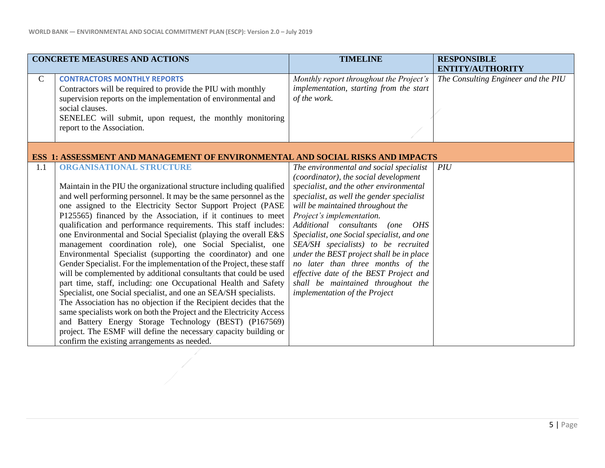|               | <b>CONCRETE MEASURES AND ACTIONS</b>                                                                                                                                                                                                                                                                                                                                                                                                                                                                                                                                                                                                                                                                                                                                                                                                                                                                                                                                                                                                                                                                                                                                                                   | <b>TIMELINE</b>                                                                                                                                                                                                                                                                                                                                                                                                                                                                                                                                                            | <b>RESPONSIBLE</b><br>ENTITY/AUTHORITY |
|---------------|--------------------------------------------------------------------------------------------------------------------------------------------------------------------------------------------------------------------------------------------------------------------------------------------------------------------------------------------------------------------------------------------------------------------------------------------------------------------------------------------------------------------------------------------------------------------------------------------------------------------------------------------------------------------------------------------------------------------------------------------------------------------------------------------------------------------------------------------------------------------------------------------------------------------------------------------------------------------------------------------------------------------------------------------------------------------------------------------------------------------------------------------------------------------------------------------------------|----------------------------------------------------------------------------------------------------------------------------------------------------------------------------------------------------------------------------------------------------------------------------------------------------------------------------------------------------------------------------------------------------------------------------------------------------------------------------------------------------------------------------------------------------------------------------|----------------------------------------|
| $\mathcal{C}$ | <b>CONTRACTORS MONTHLY REPORTS</b><br>Contractors will be required to provide the PIU with monthly<br>supervision reports on the implementation of environmental and<br>social clauses.<br>SENELEC will submit, upon request, the monthly monitoring<br>report to the Association.                                                                                                                                                                                                                                                                                                                                                                                                                                                                                                                                                                                                                                                                                                                                                                                                                                                                                                                     | Monthly report throughout the Project's<br>implementation, starting from the start<br>of the work.                                                                                                                                                                                                                                                                                                                                                                                                                                                                         | The Consulting Engineer and the PIU    |
|               | ESS 1: ASSESSMENT AND MANAGEMENT OF ENVIRONMENTAL AND SOCIAL RISKS AND IMPACTS                                                                                                                                                                                                                                                                                                                                                                                                                                                                                                                                                                                                                                                                                                                                                                                                                                                                                                                                                                                                                                                                                                                         |                                                                                                                                                                                                                                                                                                                                                                                                                                                                                                                                                                            |                                        |
| 1.1           | <b>ORGANISATIONAL STRUCTURE</b><br>Maintain in the PIU the organizational structure including qualified<br>and well performing personnel. It may be the same personnel as the<br>one assigned to the Electricity Sector Support Project (PASE<br>P125565) financed by the Association, if it continues to meet<br>qualification and performance requirements. This staff includes:<br>one Environmental and Social Specialist (playing the overall E&S<br>management coordination role), one Social Specialist, one<br>Environmental Specialist (supporting the coordinator) and one<br>Gender Specialist. For the implementation of the Project, these staff<br>will be complemented by additional consultants that could be used<br>part time, staff, including: one Occupational Health and Safety<br>Specialist, one Social specialist, and one an SEA/SH specialists.<br>The Association has no objection if the Recipient decides that the<br>same specialists work on both the Project and the Electricity Access<br>and Battery Energy Storage Technology (BEST) (P167569)<br>project. The ESMF will define the necessary capacity building or<br>confirm the existing arrangements as needed. | The environmental and social specialist<br>(coordinator), the social development<br>specialist, and the other environmental<br>specialist, as well the gender specialist<br>will be maintained throughout the<br>Project's implementation.<br>Additional consultants<br>(one<br>OHS<br>Specialist, one Social specialist, and one<br>SEA/SH specialists) to be recruited<br>under the BEST project shall be in place<br>no later than three months of the<br>effective date of the BEST Project and<br>shall be maintained throughout the<br>implementation of the Project | PIU                                    |
|               |                                                                                                                                                                                                                                                                                                                                                                                                                                                                                                                                                                                                                                                                                                                                                                                                                                                                                                                                                                                                                                                                                                                                                                                                        |                                                                                                                                                                                                                                                                                                                                                                                                                                                                                                                                                                            |                                        |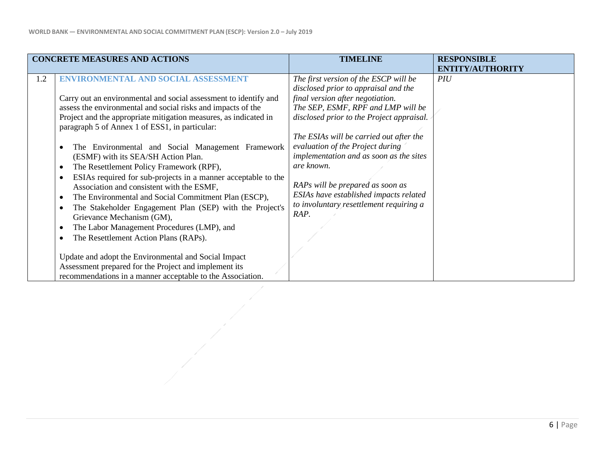| <b>CONCRETE MEASURES AND ACTIONS</b> |                                                                                                                                                                                                                                                                                                                                                                                                                                                                                                                                                                                                                                                                                                                                                                                                                                                                                                                                                                                                                                                                              | <b>TIMELINE</b>                                                                                                                                                                                                                                                                                                                                                                                                                                                               | <b>RESPONSIBLE</b>      |
|--------------------------------------|------------------------------------------------------------------------------------------------------------------------------------------------------------------------------------------------------------------------------------------------------------------------------------------------------------------------------------------------------------------------------------------------------------------------------------------------------------------------------------------------------------------------------------------------------------------------------------------------------------------------------------------------------------------------------------------------------------------------------------------------------------------------------------------------------------------------------------------------------------------------------------------------------------------------------------------------------------------------------------------------------------------------------------------------------------------------------|-------------------------------------------------------------------------------------------------------------------------------------------------------------------------------------------------------------------------------------------------------------------------------------------------------------------------------------------------------------------------------------------------------------------------------------------------------------------------------|-------------------------|
|                                      |                                                                                                                                                                                                                                                                                                                                                                                                                                                                                                                                                                                                                                                                                                                                                                                                                                                                                                                                                                                                                                                                              |                                                                                                                                                                                                                                                                                                                                                                                                                                                                               | <b>ENTITY/AUTHORITY</b> |
| 1.2                                  | <b>ENVIRONMENTAL AND SOCIAL ASSESSMENT</b><br>Carry out an environmental and social assessment to identify and<br>assess the environmental and social risks and impacts of the<br>Project and the appropriate mitigation measures, as indicated in<br>paragraph 5 of Annex 1 of ESS1, in particular:<br>The Environmental and Social Management Framework<br>$\bullet$<br>(ESMF) with its SEA/SH Action Plan.<br>The Resettlement Policy Framework (RPF),<br>$\bullet$<br>ESIAs required for sub-projects in a manner acceptable to the<br>$\bullet$<br>Association and consistent with the ESMF,<br>The Environmental and Social Commitment Plan (ESCP),<br>$\bullet$<br>The Stakeholder Engagement Plan (SEP) with the Project's<br>$\bullet$<br>Grievance Mechanism (GM),<br>The Labor Management Procedures (LMP), and<br>$\bullet$<br>The Resettlement Action Plans (RAPs).<br>$\bullet$<br>Update and adopt the Environmental and Social Impact<br>Assessment prepared for the Project and implement its<br>recommendations in a manner acceptable to the Association. | The first version of the ESCP will be<br>disclosed prior to appraisal and the<br>final version after negotiation.<br>The SEP, ESMF, RPF and LMP will be<br>disclosed prior to the Project appraisal.<br>The ESIAs will be carried out after the<br>evaluation of the Project during<br>implementation and as soon as the sites<br>are known.<br>RAPs will be prepared as soon as<br>ESIAs have established impacts related<br>to involuntary resettlement requiring a<br>RAP. | PIU                     |
|                                      |                                                                                                                                                                                                                                                                                                                                                                                                                                                                                                                                                                                                                                                                                                                                                                                                                                                                                                                                                                                                                                                                              |                                                                                                                                                                                                                                                                                                                                                                                                                                                                               |                         |
|                                      |                                                                                                                                                                                                                                                                                                                                                                                                                                                                                                                                                                                                                                                                                                                                                                                                                                                                                                                                                                                                                                                                              |                                                                                                                                                                                                                                                                                                                                                                                                                                                                               |                         |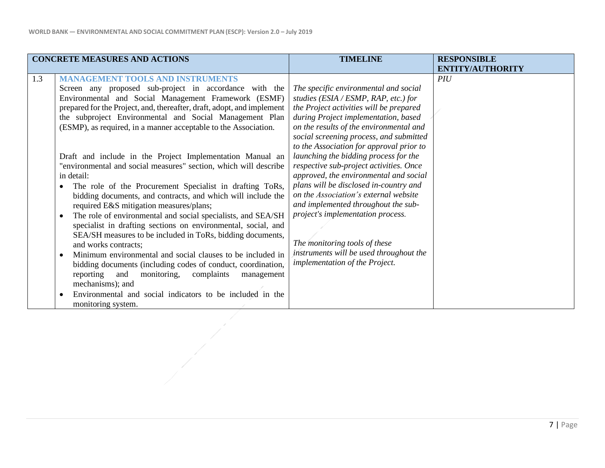|     | <b>CONCRETE MEASURES AND ACTIONS</b>                                                                                                                                                                                                                                                                                                                                                                                                                                                                                                                                                                                                                                                                                                                                                                                                                                                                                                                                                                                                                                                                                                                                                                                                                      | <b>TIMELINE</b>                                                                                                                                                                                                                                                                                                                                                                                                                                                                                                                                                                                                                                                                                               | <b>RESPONSIBLE</b> |
|-----|-----------------------------------------------------------------------------------------------------------------------------------------------------------------------------------------------------------------------------------------------------------------------------------------------------------------------------------------------------------------------------------------------------------------------------------------------------------------------------------------------------------------------------------------------------------------------------------------------------------------------------------------------------------------------------------------------------------------------------------------------------------------------------------------------------------------------------------------------------------------------------------------------------------------------------------------------------------------------------------------------------------------------------------------------------------------------------------------------------------------------------------------------------------------------------------------------------------------------------------------------------------|---------------------------------------------------------------------------------------------------------------------------------------------------------------------------------------------------------------------------------------------------------------------------------------------------------------------------------------------------------------------------------------------------------------------------------------------------------------------------------------------------------------------------------------------------------------------------------------------------------------------------------------------------------------------------------------------------------------|--------------------|
|     |                                                                                                                                                                                                                                                                                                                                                                                                                                                                                                                                                                                                                                                                                                                                                                                                                                                                                                                                                                                                                                                                                                                                                                                                                                                           |                                                                                                                                                                                                                                                                                                                                                                                                                                                                                                                                                                                                                                                                                                               | ENTITY/AUTHORITY   |
| 1.3 | <b>MANAGEMENT TOOLS AND INSTRUMENTS</b><br>Screen any proposed sub-project in accordance with the<br>Environmental and Social Management Framework (ESMF)<br>prepared for the Project, and, thereafter, draft, adopt, and implement<br>the subproject Environmental and Social Management Plan<br>(ESMP), as required, in a manner acceptable to the Association.<br>Draft and include in the Project Implementation Manual an<br>"environmental and social measures" section, which will describe<br>in detail:<br>The role of the Procurement Specialist in drafting ToRs,<br>bidding documents, and contracts, and which will include the<br>required E&S mitigation measures/plans;<br>The role of environmental and social specialists, and SEA/SH<br>$\bullet$<br>specialist in drafting sections on environmental, social, and<br>SEA/SH measures to be included in ToRs, bidding documents,<br>and works contracts;<br>Minimum environmental and social clauses to be included in<br>$\bullet$<br>bidding documents (including codes of conduct, coordination,<br>complaints<br>reporting<br>and<br>monitoring,<br>management<br>mechanisms); and<br>Environmental and social indicators to be included in the<br>$\bullet$<br>monitoring system. | The specific environmental and social<br>studies (ESIA / ESMP, RAP, etc.) for<br>the Project activities will be prepared<br>during Project implementation, based<br>on the results of the environmental and<br>social screening process, and submitted<br>to the Association for approval prior to<br>launching the bidding process for the<br>respective sub-project activities. Once<br>approved, the environmental and social<br>plans will be disclosed in-country and<br>on the Association's external website<br>and implemented throughout the sub-<br>project's implementation process.<br>The monitoring tools of these<br>instruments will be used throughout the<br>implementation of the Project. | PIU                |
|     |                                                                                                                                                                                                                                                                                                                                                                                                                                                                                                                                                                                                                                                                                                                                                                                                                                                                                                                                                                                                                                                                                                                                                                                                                                                           |                                                                                                                                                                                                                                                                                                                                                                                                                                                                                                                                                                                                                                                                                                               |                    |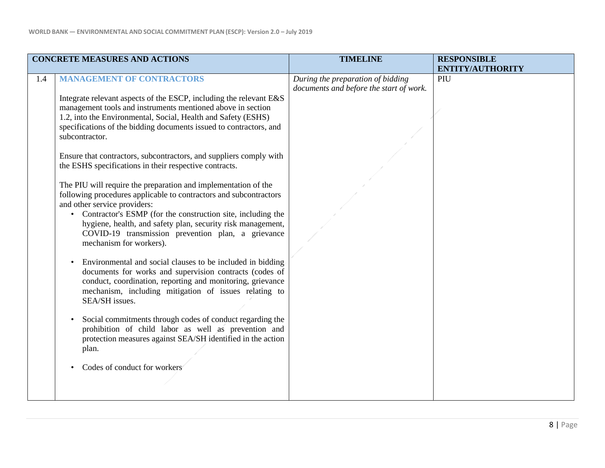| <b>CONCRETE MEASURES AND ACTIONS</b> |                                                                                                                                                                                                                                                                                                                                                                                                                                                                                                                                                                                                                                                                                                                                                                                                                                                                                                                                                                                                                                                                                                                                                                                                                                                                                                                                                                     | <b>TIMELINE</b>                                                              | <b>RESPONSIBLE</b> |
|--------------------------------------|---------------------------------------------------------------------------------------------------------------------------------------------------------------------------------------------------------------------------------------------------------------------------------------------------------------------------------------------------------------------------------------------------------------------------------------------------------------------------------------------------------------------------------------------------------------------------------------------------------------------------------------------------------------------------------------------------------------------------------------------------------------------------------------------------------------------------------------------------------------------------------------------------------------------------------------------------------------------------------------------------------------------------------------------------------------------------------------------------------------------------------------------------------------------------------------------------------------------------------------------------------------------------------------------------------------------------------------------------------------------|------------------------------------------------------------------------------|--------------------|
|                                      |                                                                                                                                                                                                                                                                                                                                                                                                                                                                                                                                                                                                                                                                                                                                                                                                                                                                                                                                                                                                                                                                                                                                                                                                                                                                                                                                                                     |                                                                              | ENTITY/AUTHORITY   |
| 1.4                                  | <b>MANAGEMENT OF CONTRACTORS</b><br>Integrate relevant aspects of the ESCP, including the relevant E&S<br>management tools and instruments mentioned above in section<br>1.2, into the Environmental, Social, Health and Safety (ESHS)<br>specifications of the bidding documents issued to contractors, and<br>subcontractor.<br>Ensure that contractors, subcontractors, and suppliers comply with<br>the ESHS specifications in their respective contracts.<br>The PIU will require the preparation and implementation of the<br>following procedures applicable to contractors and subcontractors<br>and other service providers:<br>• Contractor's ESMP (for the construction site, including the<br>hygiene, health, and safety plan, security risk management,<br>COVID-19 transmission prevention plan, a grievance<br>mechanism for workers).<br>Environmental and social clauses to be included in bidding<br>$\bullet$<br>documents for works and supervision contracts (codes of<br>conduct, coordination, reporting and monitoring, grievance<br>mechanism, including mitigation of issues relating to<br>SEA/SH issues.<br>Social commitments through codes of conduct regarding the<br>prohibition of child labor as well as prevention and<br>protection measures against SEA/SH identified in the action<br>plan.<br>Codes of conduct for workers' | During the preparation of bidding<br>documents and before the start of work. | PIU                |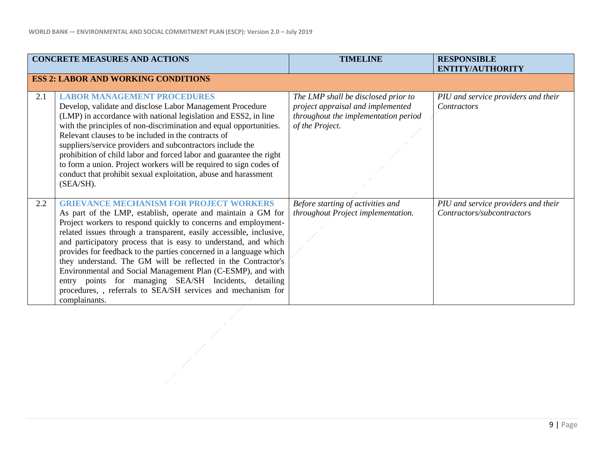|     | <b>CONCRETE MEASURES AND ACTIONS</b>                                                                                                                                                                                                                                                                                                                                                                                                                                                                                                                                                                                                                                       | <b>TIMELINE</b>                                                                                                                     | <b>RESPONSIBLE</b><br><b>ENTITY/AUTHORITY</b>                     |
|-----|----------------------------------------------------------------------------------------------------------------------------------------------------------------------------------------------------------------------------------------------------------------------------------------------------------------------------------------------------------------------------------------------------------------------------------------------------------------------------------------------------------------------------------------------------------------------------------------------------------------------------------------------------------------------------|-------------------------------------------------------------------------------------------------------------------------------------|-------------------------------------------------------------------|
|     | <b>ESS 2: LABOR AND WORKING CONDITIONS</b>                                                                                                                                                                                                                                                                                                                                                                                                                                                                                                                                                                                                                                 |                                                                                                                                     |                                                                   |
| 2.1 | <b>LABOR MANAGEMENT PROCEDURES</b><br>Develop, validate and disclose Labor Management Procedure<br>(LMP) in accordance with national legislation and ESS2, in line<br>with the principles of non-discrimination and equal opportunities.<br>Relevant clauses to be included in the contracts of<br>suppliers/service providers and subcontractors include the<br>prohibition of child labor and forced labor and guarantee the right<br>to form a union. Project workers will be required to sign codes of<br>conduct that prohibit sexual exploitation, abuse and harassment<br>(SEA/SH).                                                                                 | The LMP shall be disclosed prior to<br>project appraisal and implemented<br>throughout the implementation period<br>of the Project. | PIU and service providers and their<br><b>Contractors</b>         |
| 2.2 | <b>GRIEVANCE MECHANISM FOR PROJECT WORKERS</b><br>As part of the LMP, establish, operate and maintain a GM for<br>Project workers to respond quickly to concerns and employment-<br>related issues through a transparent, easily accessible, inclusive,<br>and participatory process that is easy to understand, and which<br>provides for feedback to the parties concerned in a language which<br>they understand. The GM will be reflected in the Contractor's<br>Environmental and Social Management Plan (C-ESMP), and with<br>entry points for managing SEA/SH Incidents, detailing<br>procedures, , referrals to SEA/SH services and mechanism for<br>complainants. | Before starting of activities and<br>throughout Project implementation.                                                             | PIU and service providers and their<br>Contractors/subcontractors |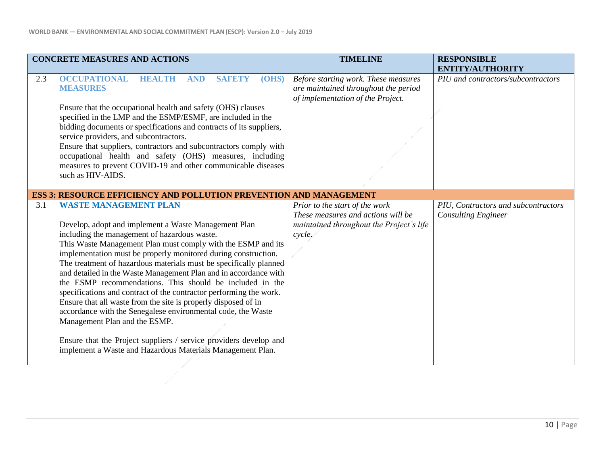|     | <b>CONCRETE MEASURES AND ACTIONS</b>                                                                                                                                                                                                                                                                                                                                                                                                                                                                                                                                                                                                                                                                                                                                                                                                                    | <b>TIMELINE</b>                                                                                                            | <b>RESPONSIBLE</b><br><b>ENTITY/AUTHORITY</b>                     |
|-----|---------------------------------------------------------------------------------------------------------------------------------------------------------------------------------------------------------------------------------------------------------------------------------------------------------------------------------------------------------------------------------------------------------------------------------------------------------------------------------------------------------------------------------------------------------------------------------------------------------------------------------------------------------------------------------------------------------------------------------------------------------------------------------------------------------------------------------------------------------|----------------------------------------------------------------------------------------------------------------------------|-------------------------------------------------------------------|
| 2.3 | <b>OCCUPATIONAL</b><br>HEALTH<br><b>AND</b><br><b>SAFETY</b><br>(OHS)<br><b>MEASURES</b><br>Ensure that the occupational health and safety (OHS) clauses<br>specified in the LMP and the ESMP/ESMF, are included in the<br>bidding documents or specifications and contracts of its suppliers,<br>service providers, and subcontractors.<br>Ensure that suppliers, contractors and subcontractors comply with<br>occupational health and safety (OHS) measures, including<br>measures to prevent COVID-19 and other communicable diseases<br>such as HIV-AIDS.                                                                                                                                                                                                                                                                                          | Before starting work. These measures<br>are maintained throughout the period<br>of implementation of the Project.          | PIU and contractors/subcontractors                                |
|     | <b>ESS 3: RESOURCE EFFICIENCY AND POLLUTION PREVENTION AND MANAGEMENT</b>                                                                                                                                                                                                                                                                                                                                                                                                                                                                                                                                                                                                                                                                                                                                                                               |                                                                                                                            |                                                                   |
| 3.1 | <b>WASTE MANAGEMENT PLAN</b><br>Develop, adopt and implement a Waste Management Plan<br>including the management of hazardous waste.<br>This Waste Management Plan must comply with the ESMP and its<br>implementation must be properly monitored during construction.<br>The treatment of hazardous materials must be specifically planned<br>and detailed in the Waste Management Plan and in accordance with<br>the ESMP recommendations. This should be included in the<br>specifications and contract of the contractor performing the work.<br>Ensure that all waste from the site is properly disposed of in<br>accordance with the Senegalese environmental code, the Waste<br>Management Plan and the ESMP.<br>Ensure that the Project suppliers / service providers develop and<br>implement a Waste and Hazardous Materials Management Plan. | Prior to the start of the work<br>These measures and actions will be<br>maintained throughout the Project's life<br>cycle. | PIU, Contractors and subcontractors<br><b>Consulting Engineer</b> |
|     |                                                                                                                                                                                                                                                                                                                                                                                                                                                                                                                                                                                                                                                                                                                                                                                                                                                         |                                                                                                                            |                                                                   |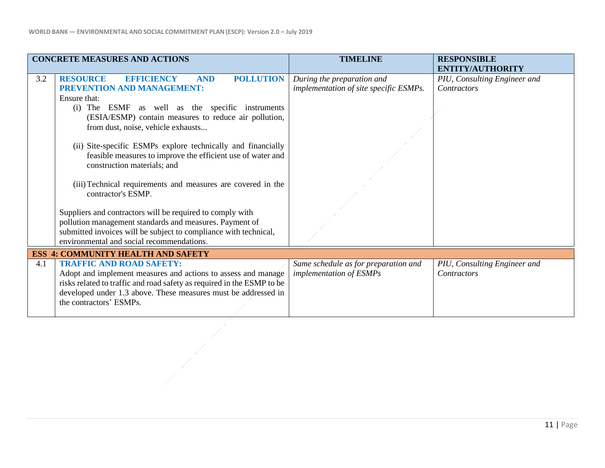|     | <b>CONCRETE MEASURES AND ACTIONS</b>                                   | <b>TIMELINE</b>                        | <b>RESPONSIBLE</b>           |
|-----|------------------------------------------------------------------------|----------------------------------------|------------------------------|
|     |                                                                        |                                        | ENTITY/AUTHORITY             |
| 3.2 | <b>RESOURCE</b><br><b>EFFICIENCY</b><br><b>AND</b><br><b>POLLUTION</b> | During the preparation and             | PIU, Consulting Engineer and |
|     | <b>PREVENTION AND MANAGEMENT:</b>                                      | implementation of site specific ESMPs. | <b>Contractors</b>           |
|     | Ensure that:                                                           |                                        |                              |
|     | (i) The ESMF as well as the specific instruments                       |                                        |                              |
|     | (ESIA/ESMP) contain measures to reduce air pollution,                  |                                        |                              |
|     | from dust, noise, vehicle exhausts                                     |                                        |                              |
|     |                                                                        |                                        |                              |
|     | (ii) Site-specific ESMPs explore technically and financially           |                                        |                              |
|     | feasible measures to improve the efficient use of water and            |                                        |                              |
|     | construction materials; and                                            |                                        |                              |
|     |                                                                        |                                        |                              |
|     | (iii) Technical requirements and measures are covered in the           |                                        |                              |
|     | contractor's ESMP.                                                     |                                        |                              |
|     |                                                                        |                                        |                              |
|     | Suppliers and contractors will be required to comply with              |                                        |                              |
|     | pollution management standards and measures. Payment of                |                                        |                              |
|     | submitted invoices will be subject to compliance with technical,       |                                        |                              |
|     | environmental and social recommendations.                              |                                        |                              |
|     |                                                                        |                                        |                              |
|     | <b>ESS 4: COMMUNITY HEALTH AND SAFETY</b>                              |                                        |                              |
| 4.1 | <b>TRAFFIC AND ROAD SAFETY:</b>                                        | Same schedule as for preparation and   | PIU, Consulting Engineer and |
|     | Adopt and implement measures and actions to assess and manage          | implementation of ESMPs                | Contractors                  |
|     | risks related to traffic and road safety as required in the ESMP to be |                                        |                              |
|     | developed under 1.3 above. These measures must be addressed in         |                                        |                              |
|     | the contractors' ESMPs.                                                |                                        |                              |
|     |                                                                        |                                        |                              |
|     |                                                                        |                                        |                              |
|     |                                                                        |                                        |                              |
|     |                                                                        |                                        |                              |
|     |                                                                        |                                        |                              |
|     |                                                                        |                                        |                              |
|     |                                                                        |                                        |                              |
|     |                                                                        |                                        |                              |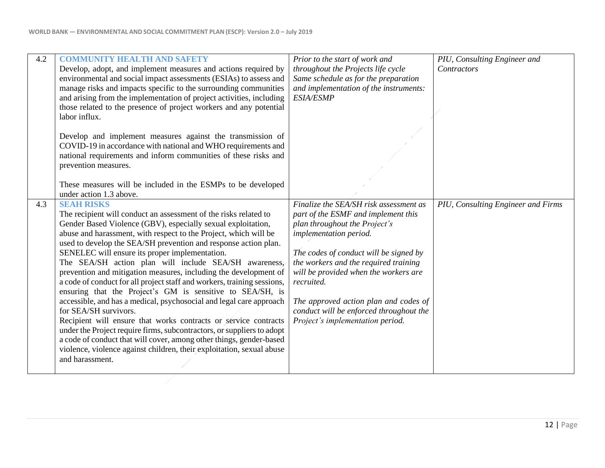| 4.2 | <b>COMMUNITY HEALTH AND SAFETY</b><br>Develop, adopt, and implement measures and actions required by<br>environmental and social impact assessments (ESIAs) to assess and<br>manage risks and impacts specific to the surrounding communities<br>and arising from the implementation of project activities, including<br>those related to the presence of project workers and any potential<br>labor influx.                                                                                                                                                                                                                                                                                                                                                                                                                                                                                                                                                                                                                        | Prior to the start of work and<br>throughout the Projects life cycle<br>Same schedule as for the preparation<br>and implementation of the instruments:<br><b>ESIA/ESMP</b>                                                                                                                                                                                                                                 | PIU, Consulting Engineer and<br><b>Contractors</b> |
|-----|-------------------------------------------------------------------------------------------------------------------------------------------------------------------------------------------------------------------------------------------------------------------------------------------------------------------------------------------------------------------------------------------------------------------------------------------------------------------------------------------------------------------------------------------------------------------------------------------------------------------------------------------------------------------------------------------------------------------------------------------------------------------------------------------------------------------------------------------------------------------------------------------------------------------------------------------------------------------------------------------------------------------------------------|------------------------------------------------------------------------------------------------------------------------------------------------------------------------------------------------------------------------------------------------------------------------------------------------------------------------------------------------------------------------------------------------------------|----------------------------------------------------|
|     | Develop and implement measures against the transmission of<br>COVID-19 in accordance with national and WHO requirements and<br>national requirements and inform communities of these risks and<br>prevention measures.<br>These measures will be included in the ESMPs to be developed                                                                                                                                                                                                                                                                                                                                                                                                                                                                                                                                                                                                                                                                                                                                              |                                                                                                                                                                                                                                                                                                                                                                                                            |                                                    |
|     | under action 1.3 above.                                                                                                                                                                                                                                                                                                                                                                                                                                                                                                                                                                                                                                                                                                                                                                                                                                                                                                                                                                                                             |                                                                                                                                                                                                                                                                                                                                                                                                            |                                                    |
| 4.3 | <b>SEAH RISKS</b><br>The recipient will conduct an assessment of the risks related to<br>Gender Based Violence (GBV), especially sexual exploitation,<br>abuse and harassment, with respect to the Project, which will be<br>used to develop the SEA/SH prevention and response action plan.<br>SENELEC will ensure its proper implementation.<br>The SEA/SH action plan will include SEA/SH awareness,<br>prevention and mitigation measures, including the development of<br>a code of conduct for all project staff and workers, training sessions,<br>ensuring that the Project's GM is sensitive to SEA/SH, is<br>accessible, and has a medical, psychosocial and legal care approach<br>for SEA/SH survivors.<br>Recipient will ensure that works contracts or service contracts<br>under the Project require firms, subcontractors, or suppliers to adopt<br>a code of conduct that will cover, among other things, gender-based<br>violence, violence against children, their exploitation, sexual abuse<br>and harassment. | Finalize the SEA/SH risk assessment as<br>part of the ESMF and implement this<br>plan throughout the Project's<br>implementation period.<br>The codes of conduct will be signed by<br>the workers and the required training<br>will be provided when the workers are<br>recruited.<br>The approved action plan and codes of<br>conduct will be enforced throughout the<br>Project's implementation period. | PIU, Consulting Engineer and Firms                 |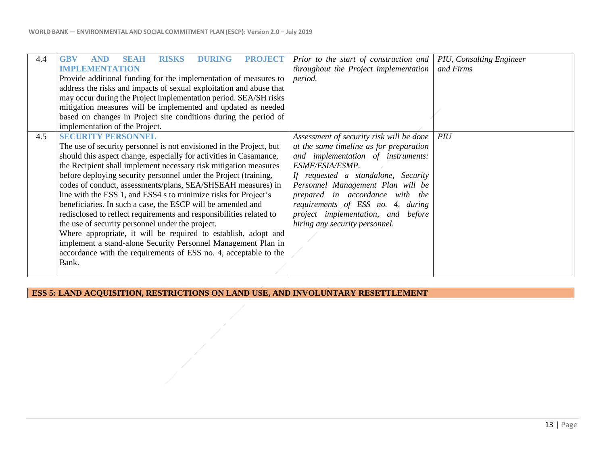| 4.4 | <b>GBV</b><br><b>DURING</b><br><b>PROJECT</b><br><b>SEAH</b><br><b>RISKS</b><br><b>AND</b> | Prior to the start of construction and   | PIU, Consulting Engineer |
|-----|--------------------------------------------------------------------------------------------|------------------------------------------|--------------------------|
|     | <b>IMPLEMENTATION</b>                                                                      | throughout the Project implementation    | and Firms                |
|     | Provide additional funding for the implementation of measures to                           | period.                                  |                          |
|     | address the risks and impacts of sexual exploitation and abuse that                        |                                          |                          |
|     | may occur during the Project implementation period. SEA/SH risks                           |                                          |                          |
|     | mitigation measures will be implemented and updated as needed                              |                                          |                          |
|     | based on changes in Project site conditions during the period of                           |                                          |                          |
|     | implementation of the Project.                                                             |                                          |                          |
| 4.5 | <b>SECURITY PERSONNEL</b>                                                                  | Assessment of security risk will be done | <b>PIU</b>               |
|     | The use of security personnel is not envisioned in the Project, but                        | at the same timeline as for preparation  |                          |
|     | should this aspect change, especially for activities in Casamance,                         | and implementation of instruments:       |                          |
|     | the Recipient shall implement necessary risk mitigation measures                           | ESMF/ESIA/ESMP.                          |                          |
|     | before deploying security personnel under the Project (training,                           | If requested a standalone, Security      |                          |
|     | codes of conduct, assessments/plans, SEA/SHSEAH measures) in                               | Personnel Management Plan will be        |                          |
|     | line with the ESS 1, and ESS4 s to minimize risks for Project's                            | prepared in accordance with the          |                          |
|     | beneficiaries. In such a case, the ESCP will be amended and                                | requirements of ESS no. 4, during        |                          |
|     | redisclosed to reflect requirements and responsibilities related to                        | project implementation, and before       |                          |
|     | the use of security personnel under the project.                                           | hiring any security personnel.           |                          |
|     | Where appropriate, it will be required to establish, adopt and                             |                                          |                          |
|     | implement a stand-alone Security Personnel Management Plan in                              |                                          |                          |
|     | accordance with the requirements of ESS no. 4, acceptable to the                           |                                          |                          |
|     | Bank.                                                                                      |                                          |                          |
|     |                                                                                            |                                          |                          |

## **ESS 5: LAND ACQUISITION, RESTRICTIONS ON LAND USE, AND INVOLUNTARY RESETTLEMENT**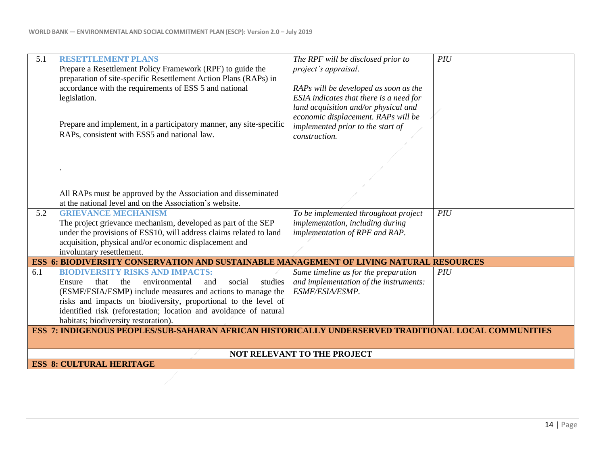| 5.1 | <b>RESETTLEMENT PLANS</b>                                                                            | The RPF will be disclosed prior to      | PIU |
|-----|------------------------------------------------------------------------------------------------------|-----------------------------------------|-----|
|     | Prepare a Resettlement Policy Framework (RPF) to guide the                                           | project's appraisal.                    |     |
|     | preparation of site-specific Resettlement Action Plans (RAPs) in                                     |                                         |     |
|     | accordance with the requirements of ESS 5 and national                                               | RAPs will be developed as soon as the   |     |
|     | legislation.                                                                                         | ESIA indicates that there is a need for |     |
|     |                                                                                                      | land acquisition and/or physical and    |     |
|     |                                                                                                      | economic displacement. RAPs will be     |     |
|     | Prepare and implement, in a participatory manner, any site-specific                                  | implemented prior to the start of       |     |
|     | RAPs, consistent with ESS5 and national law.                                                         | construction.                           |     |
|     |                                                                                                      |                                         |     |
|     |                                                                                                      |                                         |     |
|     |                                                                                                      |                                         |     |
|     |                                                                                                      |                                         |     |
|     |                                                                                                      |                                         |     |
|     | All RAPs must be approved by the Association and disseminated                                        |                                         |     |
|     | at the national level and on the Association's website.                                              |                                         |     |
| 5.2 | <b>GRIEVANCE MECHANISM</b>                                                                           | To be implemented throughout project    | PIU |
|     | The project grievance mechanism, developed as part of the SEP                                        | implementation, including during        |     |
|     | under the provisions of ESS10, will address claims related to land                                   | implementation of RPF and RAP.          |     |
|     | acquisition, physical and/or economic displacement and                                               |                                         |     |
|     | involuntary resettlement.                                                                            |                                         |     |
|     | <b>ESS 6: BIODIVERSITY CONSERVATION AND SUSTAINABLE MANAGEMENT OF LIVING NATURAL RESOURCES</b>       |                                         |     |
|     |                                                                                                      |                                         |     |
| 6.1 | <b>BIODIVERSITY RISKS AND IMPACTS:</b>                                                               | Same timeline as for the preparation    | PIU |
|     | environmental<br>that<br>the<br>social<br>studies<br>Ensure<br>and                                   | and implementation of the instruments:  |     |
|     | (ESMF/ESIA/ESMP) include measures and actions to manage the                                          | ESMF/ESIA/ESMP.                         |     |
|     | risks and impacts on biodiversity, proportional to the level of                                      |                                         |     |
|     | identified risk (reforestation; location and avoidance of natural                                    |                                         |     |
|     | habitats; biodiversity restoration).                                                                 |                                         |     |
|     | ESS 7: INDIGENOUS PEOPLES/SUB-SAHARAN AFRICAN HISTORICALLY UNDERSERVED TRADITIONAL LOCAL COMMUNITIES |                                         |     |
|     |                                                                                                      |                                         |     |
|     |                                                                                                      | <b>NOT RELEVANT TO THE PROJECT</b>      |     |
|     | <b>ESS 8: CULTURAL HERITAGE</b>                                                                      |                                         |     |
|     |                                                                                                      |                                         |     |
|     |                                                                                                      |                                         |     |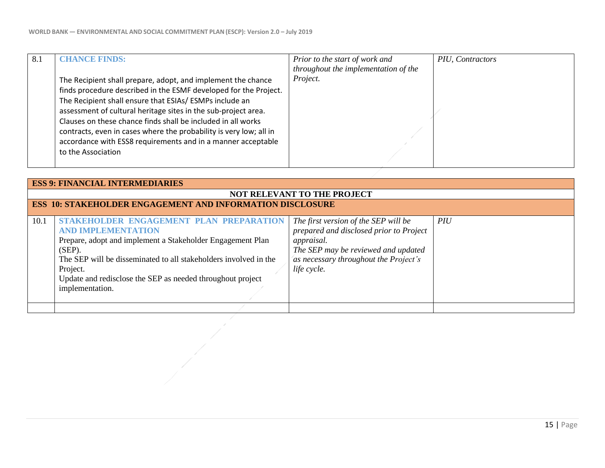| <b>CHANCE FINDS:</b><br>8.1<br>The Recipient shall prepare, adopt, and implement the chance<br>finds procedure described in the ESMF developed for the Project.<br>The Recipient shall ensure that ESIAs/ ESMPs include an<br>assessment of cultural heritage sites in the sub-project area.<br>Clauses on these chance finds shall be included in all works<br>contracts, even in cases where the probability is very low; all in<br>accordance with ESS8 requirements and in a manner acceptable<br>to the Association | Prior to the start of work and<br>throughout the implementation of the<br>Project. | PIU, Contractors |
|--------------------------------------------------------------------------------------------------------------------------------------------------------------------------------------------------------------------------------------------------------------------------------------------------------------------------------------------------------------------------------------------------------------------------------------------------------------------------------------------------------------------------|------------------------------------------------------------------------------------|------------------|
|--------------------------------------------------------------------------------------------------------------------------------------------------------------------------------------------------------------------------------------------------------------------------------------------------------------------------------------------------------------------------------------------------------------------------------------------------------------------------------------------------------------------------|------------------------------------------------------------------------------------|------------------|

| <b>ESS 9: FINANCIAL INTERMEDIARIES</b> |                                                                                                                                                                                                                                                                                                                  |                                                                                                                                                                                              |     |  |
|----------------------------------------|------------------------------------------------------------------------------------------------------------------------------------------------------------------------------------------------------------------------------------------------------------------------------------------------------------------|----------------------------------------------------------------------------------------------------------------------------------------------------------------------------------------------|-----|--|
| <b>NOT RELEVANT TO THE PROJECT</b>     |                                                                                                                                                                                                                                                                                                                  |                                                                                                                                                                                              |     |  |
|                                        | <b>ESS 10: STAKEHOLDER ENGAGEMENT AND INFORMATION DISCLOSURE</b>                                                                                                                                                                                                                                                 |                                                                                                                                                                                              |     |  |
| 10.1                                   | STAKEHOLDER ENGAGEMENT PLAN PREPARATION<br><b>AND IMPLEMENTATION</b><br>Prepare, adopt and implement a Stakeholder Engagement Plan<br>$(SEP)$ .<br>The SEP will be disseminated to all stakeholders involved in the<br>Project.<br>Update and redisclose the SEP as needed throughout project<br>implementation. | The first version of the SEP will be<br>prepared and disclosed prior to Project<br>appraisal.<br>The SEP may be reviewed and updated<br>as necessary throughout the Project's<br>life cycle. | PIU |  |
|                                        |                                                                                                                                                                                                                                                                                                                  |                                                                                                                                                                                              |     |  |
|                                        |                                                                                                                                                                                                                                                                                                                  |                                                                                                                                                                                              |     |  |
|                                        |                                                                                                                                                                                                                                                                                                                  |                                                                                                                                                                                              |     |  |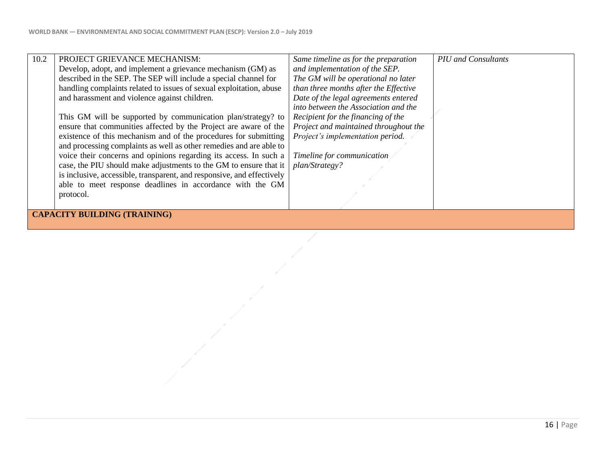| 10.2                                | PROJECT GRIEVANCE MECHANISM:                                           | Same timeline as for the preparation  | <b>PIU</b> and Consultants |
|-------------------------------------|------------------------------------------------------------------------|---------------------------------------|----------------------------|
|                                     | Develop, adopt, and implement a grievance mechanism (GM) as            | and implementation of the SEP.        |                            |
|                                     | described in the SEP. The SEP will include a special channel for       | The GM will be operational no later   |                            |
|                                     | handling complaints related to issues of sexual exploitation, abuse    | than three months after the Effective |                            |
|                                     | and harassment and violence against children.                          | Date of the legal agreements entered  |                            |
|                                     |                                                                        | into between the Association and the  |                            |
|                                     | This GM will be supported by communication plan/strategy? to           | Recipient for the financing of the    |                            |
|                                     | ensure that communities affected by the Project are aware of the       | Project and maintained throughout the |                            |
|                                     | existence of this mechanism and of the procedures for submitting       | Project's implementation period.      |                            |
|                                     | and processing complaints as well as other remedies and are able to    |                                       |                            |
|                                     | voice their concerns and opinions regarding its access. In such a      | Timeline for communication            |                            |
|                                     | case, the PIU should make adjustments to the GM to ensure that it      | plan/Strategy?                        |                            |
|                                     | is inclusive, accessible, transparent, and responsive, and effectively |                                       |                            |
|                                     | able to meet response deadlines in accordance with the GM              |                                       |                            |
|                                     | protocol.                                                              |                                       |                            |
|                                     |                                                                        |                                       |                            |
| <b>CAPACITY BUILDING (TRAINING)</b> |                                                                        |                                       |                            |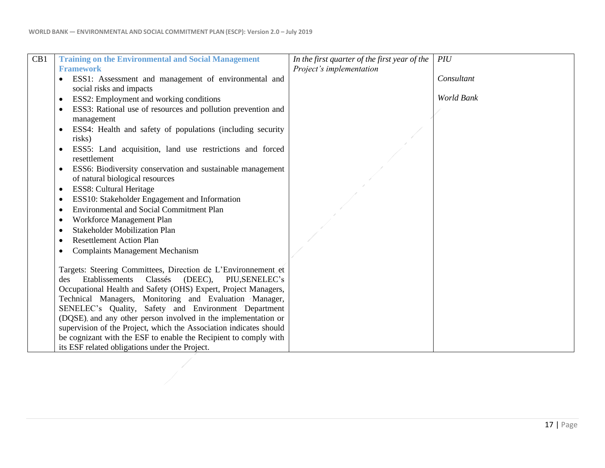$\frac{1}{\sqrt{2}}$ 

| CB1 | <b>Training on the Environmental and Social Management</b>                                                                     | In the first quarter of the first year of the | PIU        |
|-----|--------------------------------------------------------------------------------------------------------------------------------|-----------------------------------------------|------------|
|     | <b>Framework</b>                                                                                                               | Project's implementation                      |            |
|     | ESS1: Assessment and management of environmental and                                                                           |                                               | Consultant |
|     | social risks and impacts                                                                                                       |                                               |            |
|     | ESS2: Employment and working conditions<br>$\bullet$                                                                           |                                               | World Bank |
|     | ESS3: Rational use of resources and pollution prevention and                                                                   |                                               |            |
|     | management                                                                                                                     |                                               |            |
|     | ESS4: Health and safety of populations (including security                                                                     |                                               |            |
|     | risks)                                                                                                                         |                                               |            |
|     | ESS5: Land acquisition, land use restrictions and forced                                                                       |                                               |            |
|     | resettlement                                                                                                                   |                                               |            |
|     | ESS6: Biodiversity conservation and sustainable management                                                                     |                                               |            |
|     | of natural biological resources                                                                                                |                                               |            |
|     | <b>ESS8</b> : Cultural Heritage<br>$\bullet$                                                                                   |                                               |            |
|     | ESS10: Stakeholder Engagement and Information<br>$\bullet$                                                                     |                                               |            |
|     | <b>Environmental and Social Commitment Plan</b><br>$\bullet$                                                                   |                                               |            |
|     | Workforce Management Plan<br>$\bullet$                                                                                         |                                               |            |
|     | <b>Stakeholder Mobilization Plan</b><br>$\bullet$                                                                              |                                               |            |
|     | <b>Resettlement Action Plan</b><br>$\bullet$                                                                                   |                                               |            |
|     | <b>Complaints Management Mechanism</b><br>$\bullet$                                                                            |                                               |            |
|     |                                                                                                                                |                                               |            |
|     | Targets: Steering Committees, Direction de L'Environnement et<br>Classés<br>(DEEC),<br>Etablissements<br>PIU, SENELEC's<br>des |                                               |            |
|     | Occupational Health and Safety (OHS) Expert, Project Managers,                                                                 |                                               |            |
|     | Technical Managers, Monitoring and Evaluation Manager,                                                                         |                                               |            |
|     | SENELEC's Quality, Safety and Environment Department                                                                           |                                               |            |
|     | (DQSE), and any other person involved in the implementation or                                                                 |                                               |            |
|     | supervision of the Project, which the Association indicates should                                                             |                                               |            |
|     | be cognizant with the ESF to enable the Recipient to comply with                                                               |                                               |            |
|     | its ESF related obligations under the Project.                                                                                 |                                               |            |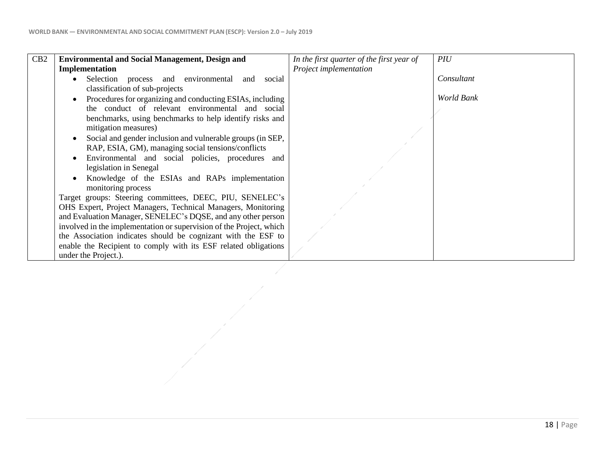| CB2 | <b>Environmental and Social Management, Design and</b><br>Implementation                                                            | In the first quarter of the first year of<br>Project implementation | PIU        |
|-----|-------------------------------------------------------------------------------------------------------------------------------------|---------------------------------------------------------------------|------------|
|     | Selection process and environmental and social<br>classification of sub-projects                                                    |                                                                     | Consultant |
|     | Procedures for organizing and conducting ESIAs, including                                                                           |                                                                     | World Bank |
|     | the conduct of relevant environmental and social<br>benchmarks, using benchmarks to help identify risks and                         |                                                                     |            |
|     | mitigation measures)<br>Social and gender inclusion and vulnerable groups (in SEP,                                                  |                                                                     |            |
|     | RAP, ESIA, GM), managing social tensions/conflicts<br>Environmental and social policies, procedures and                             |                                                                     |            |
|     | legislation in Senegal<br>Knowledge of the ESIAs and RAPs implementation                                                            |                                                                     |            |
|     | monitoring process<br>Target groups: Steering committees, DEEC, PIU, SENELEC's                                                      |                                                                     |            |
|     | OHS Expert, Project Managers, Technical Managers, Monitoring                                                                        |                                                                     |            |
|     | and Evaluation Manager, SENELEC's DQSE, and any other person<br>involved in the implementation or supervision of the Project, which |                                                                     |            |
|     | the Association indicates should be cognizant with the ESF to<br>enable the Recipient to comply with its ESF related obligations    |                                                                     |            |
|     | under the Project.).                                                                                                                |                                                                     |            |

- 1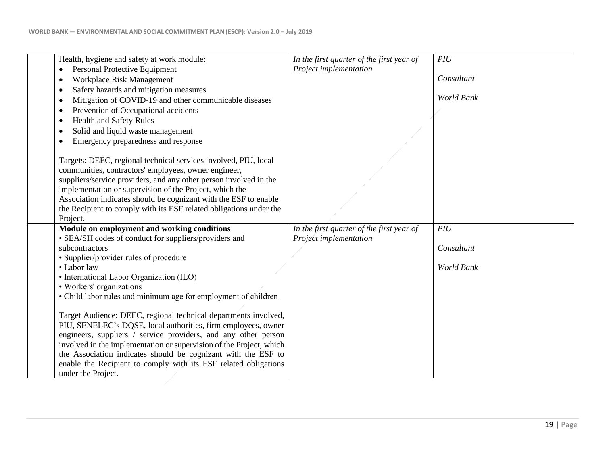| Health, hygiene and safety at work module:                                                                                            | In the first quarter of the first year of | PIU        |
|---------------------------------------------------------------------------------------------------------------------------------------|-------------------------------------------|------------|
| Personal Protective Equipment                                                                                                         | Project implementation                    |            |
| Workplace Risk Management                                                                                                             |                                           | Consultant |
| Safety hazards and mitigation measures<br>٠                                                                                           |                                           |            |
| Mitigation of COVID-19 and other communicable diseases                                                                                |                                           | World Bank |
| Prevention of Occupational accidents                                                                                                  |                                           |            |
| <b>Health and Safety Rules</b><br>٠                                                                                                   |                                           |            |
| Solid and liquid waste management                                                                                                     |                                           |            |
| Emergency preparedness and response                                                                                                   |                                           |            |
|                                                                                                                                       |                                           |            |
| Targets: DEEC, regional technical services involved, PIU, local                                                                       |                                           |            |
| communities, contractors' employees, owner engineer,                                                                                  |                                           |            |
| suppliers/service providers, and any other person involved in the                                                                     |                                           |            |
| implementation or supervision of the Project, which the                                                                               |                                           |            |
| Association indicates should be cognizant with the ESF to enable                                                                      |                                           |            |
| the Recipient to comply with its ESF related obligations under the                                                                    |                                           |            |
| Project.                                                                                                                              |                                           |            |
| Module on employment and working conditions                                                                                           | In the first quarter of the first year of | PIU        |
| • SEA/SH codes of conduct for suppliers/providers and                                                                                 | Project implementation                    |            |
| subcontractors                                                                                                                        |                                           | Consultant |
| • Supplier/provider rules of procedure                                                                                                |                                           |            |
| • Labor law                                                                                                                           |                                           | World Bank |
| • International Labor Organization (ILO)                                                                                              |                                           |            |
| • Workers' organizations                                                                                                              |                                           |            |
| • Child labor rules and minimum age for employment of children                                                                        |                                           |            |
|                                                                                                                                       |                                           |            |
| Target Audience: DEEC, regional technical departments involved,                                                                       |                                           |            |
| PIU, SENELEC's DQSE, local authorities, firm employees, owner                                                                         |                                           |            |
| engineers, suppliers / service providers, and any other person<br>involved in the implementation or supervision of the Project, which |                                           |            |
| the Association indicates should be cognizant with the ESF to                                                                         |                                           |            |
| enable the Recipient to comply with its ESF related obligations                                                                       |                                           |            |
| under the Project.                                                                                                                    |                                           |            |
|                                                                                                                                       |                                           |            |